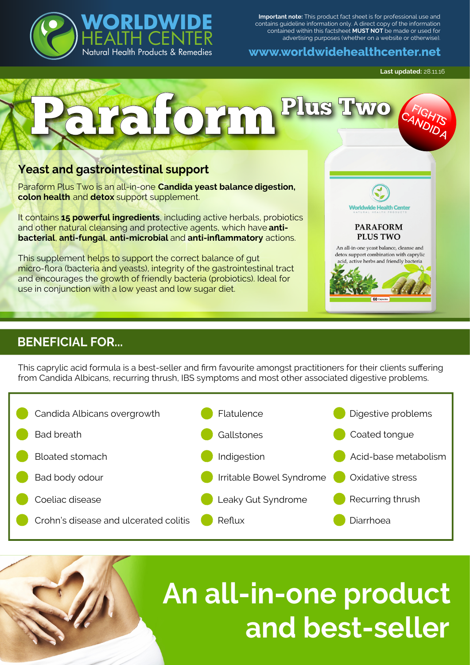

**Important note:** This product fact sheet is for professional use and contains guideline information only. A direct copy of the information contained within this factsheet **MUST NOT** be made or used for advertising purposes (whether on a website or otherwise).

**www.worldwidehealthcenter.net**

**Last updated:** 28.11.16



## **BENEFICIAL FOR...**

This caprylic acid formula is a best-seller and firm favourite amongst practitioners for their clients suffering from Candida Albicans, recurring thrush, IBS symptoms and most other associated digestive problems.